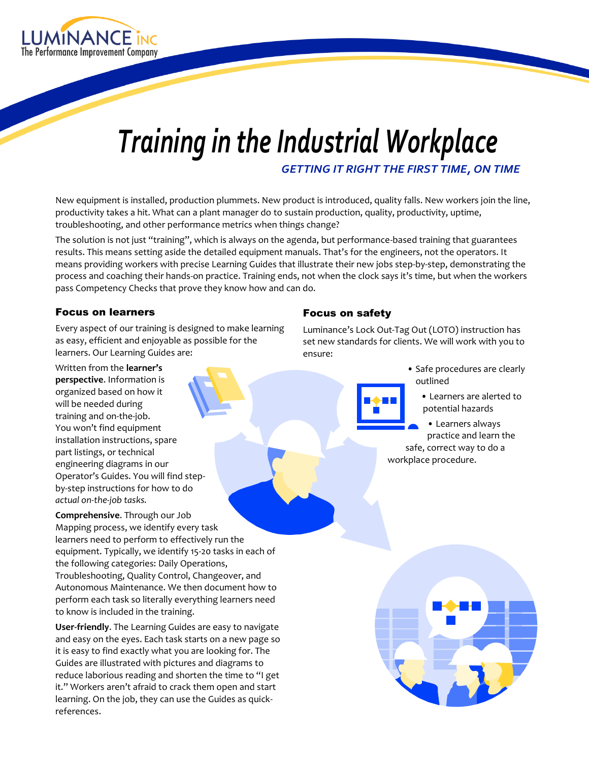

# *Training in the Industrial Workplace GETTING IT RIGHT THE FIRST TIME, ON TIME*

New equipment is installed, production plummets. New product is introduced, quality falls. New workers join the line, productivity takes a hit. What can a plant manager do to sustain production, quality, productivity, uptime, troubleshooting, and other performance metrics when things change?

The solution is not just "training", which is always on the agenda, but performance-based training that guarantees results. This means setting aside the detailed equipment manuals. That's for the engineers, not the operators. It means providing workers with precise Learning Guides that illustrate their new jobs step-by-step, demonstrating the process and coaching their hands-on practice. Training ends, not when the clock says it's time, but when the workers pass Competency Checks that prove they know how and can do.

#### Focus on learners

Every aspect of our training is designed to make learning as easy, efficient and enjoyable as possible for the learners. Our Learning Guides are:

Written from the **learner's perspective**. Information is organized based on how it will be needed during training and on-the-job. You won't find equipment installation instructions, spare part listings, or technical engineering diagrams in our Operator's Guides. You will find stepby-step instructions for how to do *actual on-the-job tasks.* 

**Comprehensive**. Through our Job Mapping process, we identify every task learners need to perform to effectively run the equipment. Typically, we identify 15-20 tasks in each of the following categories: Daily Operations, Troubleshooting, Quality Control, Changeover, and Autonomous Maintenance. We then document how to perform each task so literally everything learners need to know is included in the training.

**User-friendly**. The Learning Guides are easy to navigate and easy on the eyes. Each task starts on a new page so it is easy to find exactly what you are looking for. The Guides are illustrated with pictures and diagrams to reduce laborious reading and shorten the time to "I get it." Workers aren't afraid to crack them open and start learning. On the job, they can use the Guides as quickreferences.

#### Focus on safety

Luminance's Lock Out-Tag Out (LOTO) instruction has set new standards for clients. We will work with you to ensure:

- Safe procedures are clearly outlined
	- Learners are alerted to potential hazards

• Learners always practice and learn the safe, correct way to do a workplace procedure.